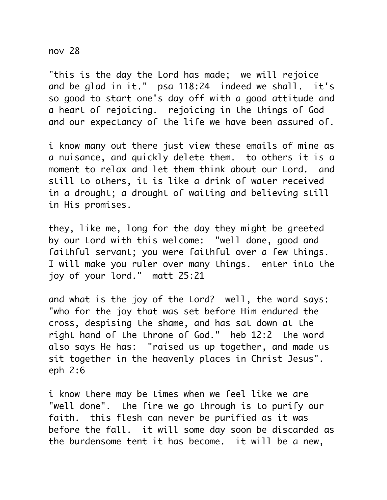## nov 28

"this is the day the Lord has made; we will rejoice and be glad in it." psa 118:24 indeed we shall. it's so good to start one's day off with a good attitude and a heart of rejoicing. rejoicing in the things of God and our expectancy of the life we have been assured of.

i know many out there just view these emails of mine as a nuisance, and quickly delete them. to others it is a moment to relax and let them think about our Lord. and still to others, it is like a drink of water received in a drought; a drought of waiting and believing still in His promises.

they, like me, long for the day they might be greeted by our Lord with this welcome: "well done, good and faithful servant; you were faithful over a few things. I will make you ruler over many things. enter into the joy of your lord." matt 25:21

and what is the joy of the Lord? well, the word says: "who for the joy that was set before Him endured the cross, despising the shame, and has sat down at the right hand of the throne of God." heb 12:2 the word also says He has: "raised us up together, and made us sit together in the heavenly places in Christ Jesus". eph 2:6

i know there may be times when we feel like we are "well done". the fire we go through is to purify our faith. this flesh can never be purified as it was before the fall. it will some day soon be discarded as the burdensome tent it has become. it will be a new,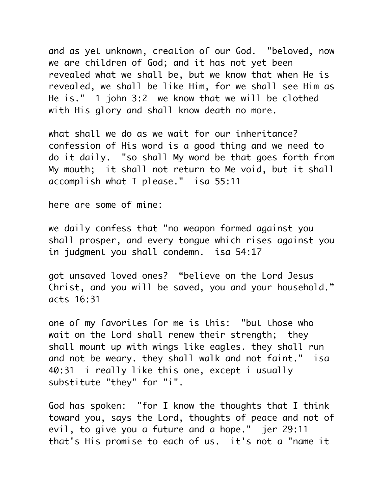and as yet unknown, creation of our God. "beloved, now we are children of God; and it has not yet been revealed what we shall be, but we know that when He is revealed, we shall be like Him, for we shall see Him as He is." 1 john 3:2 we know that we will be clothed with His glory and shall know death no more.

what shall we do as we wait for our inheritance? confession of His word is a good thing and we need to do it daily. "so shall My word be that goes forth from My mouth; it shall not return to Me void, but it shall accomplish what I please." isa 55:11

here are some of mine:

we daily confess that "no weapon formed against you shall prosper, and every tongue which rises against you in judgment you shall condemn. isa 54:17

got unsaved loved-ones? "believe on the Lord Jesus Christ, and you will be saved, you and your household." acts 16:31

one of my favorites for me is this: "but those who wait on the Lord shall renew their strength; they shall mount up with wings like eagles. they shall run and not be weary. they shall walk and not faint." isa 40:31 i really like this one, except i usually substitute "they" for "i".

God has spoken: "for I know the thoughts that I think toward you, says the Lord, thoughts of peace and not of evil, to give you a future and a hope." jer 29:11 that's His promise to each of us. it's not a "name it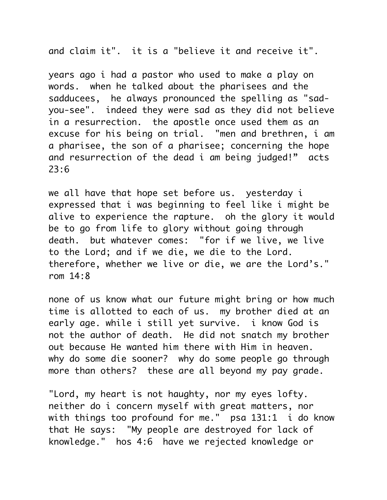and claim it". it is a "believe it and receive it".

years ago i had a pastor who used to make a play on words. when he talked about the pharisees and the sadducees, he always pronounced the spelling as "sadyou-see". indeed they were sad as they did not believe in a resurrection. the apostle once used them as an excuse for his being on trial. "men and brethren, i am a pharisee, the son of a pharisee; concerning the hope and resurrection of the dead i am being judged!" acts 23:6

we all have that hope set before us. yesterday i expressed that i was beginning to feel like i might be alive to experience the rapture. oh the glory it would be to go from life to glory without going through death. but whatever comes: "for if we live, we live to the Lord; and if we die, we die to the Lord. therefore, whether we live or die, we are the Lord's." rom  $14.8$ 

none of us know what our future might bring or how much time is allotted to each of us. my brother died at an early age. while i still yet survive. i know God is not the author of death. He did not snatch my brother out because He wanted him there with Him in heaven. why do some die sooner? why do some people go through more than others? these are all beyond my pay grade.

"Lord, my heart is not haughty, nor my eyes lofty. neither do i concern myself with great matters, nor with things too profound for me." psa 131:1 i do know that He says: "My people are destroyed for lack of knowledge." hos 4:6 have we rejected knowledge or